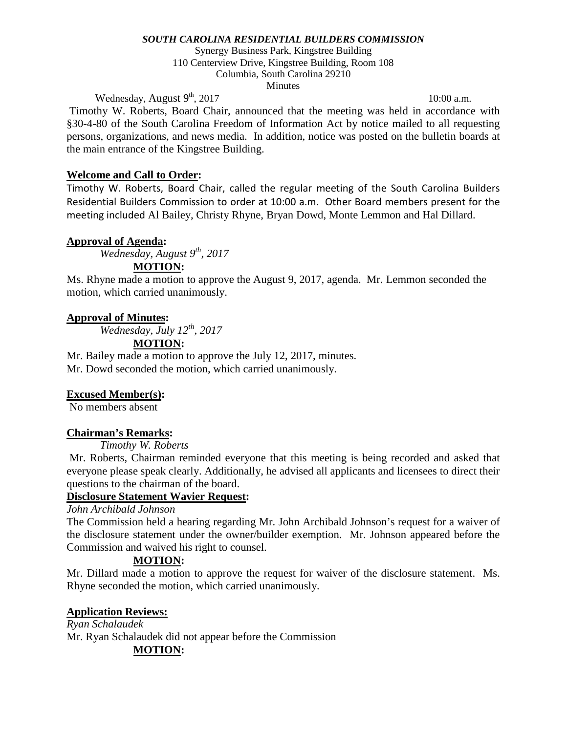Synergy Business Park, Kingstree Building 110 Centerview Drive, Kingstree Building, Room 108 Columbia, South Carolina 29210 **Minutes** 

Wednesday, August  $9<sup>th</sup>$ , 2017 10:00 a.m.

Timothy W. Roberts, Board Chair, announced that the meeting was held in accordance with §30-4-80 of the South Carolina Freedom of Information Act by notice mailed to all requesting persons, organizations, and news media. In addition, notice was posted on the bulletin boards at the main entrance of the Kingstree Building.

## **Welcome and Call to Order:**

Timothy W. Roberts, Board Chair, called the regular meeting of the South Carolina Builders Residential Builders Commission to order at 10:00 a.m. Other Board members present for the meeting included Al Bailey, Christy Rhyne, Bryan Dowd, Monte Lemmon and Hal Dillard.

## **Approval of Agenda:**

*Wednesday, August 9th, 2017*

## **MOTION:**

Ms. Rhyne made a motion to approve the August 9, 2017, agenda. Mr. Lemmon seconded the motion, which carried unanimously.

## **Approval of Minutes:**

*Wednesday, July 12th, 2017*

# **MOTION:**

Mr. Bailey made a motion to approve the July 12, 2017, minutes. Mr. Dowd seconded the motion, which carried unanimously.

# **Excused Member(s):**

No members absent

## **Chairman's Remarks:**

*Timothy W. Roberts* 

Mr. Roberts, Chairman reminded everyone that this meeting is being recorded and asked that everyone please speak clearly. Additionally, he advised all applicants and licensees to direct their questions to the chairman of the board.

## **Disclosure Statement Wavier Request:**

# *John Archibald Johnson*

The Commission held a hearing regarding Mr. John Archibald Johnson's request for a waiver of the disclosure statement under the owner/builder exemption. Mr. Johnson appeared before the Commission and waived his right to counsel.

## **MOTION:**

Mr. Dillard made a motion to approve the request for waiver of the disclosure statement. Ms. Rhyne seconded the motion, which carried unanimously.

## **Application Reviews:**

*Ryan Schalaudek* Mr. Ryan Schalaudek did not appear before the Commission **MOTION:**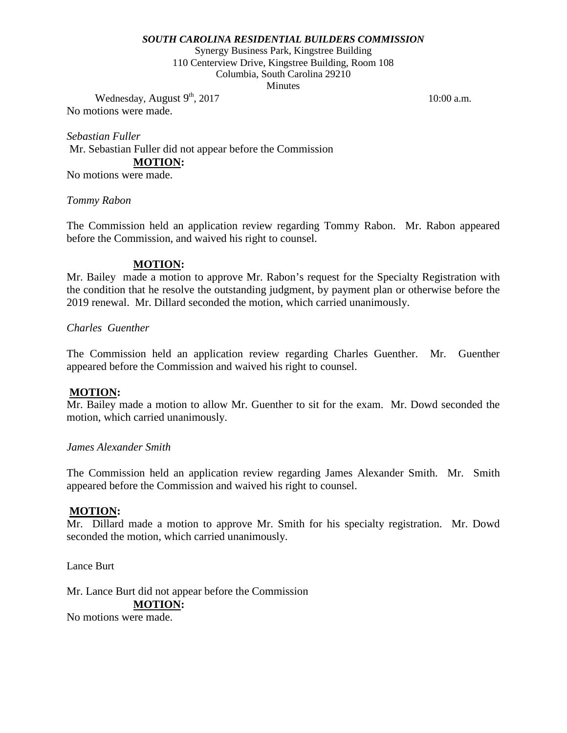Synergy Business Park, Kingstree Building 110 Centerview Drive, Kingstree Building, Room 108 Columbia, South Carolina 29210 **Minutes** 

Wednesday, August  $9<sup>th</sup>$ , 2017 10:00 a.m. No motions were made.

*Sebastian Fuller* Mr. Sebastian Fuller did not appear before the Commission **MOTION:** No motions were made.

### *Tommy Rabon*

The Commission held an application review regarding Tommy Rabon. Mr. Rabon appeared before the Commission, and waived his right to counsel.

### **MOTION:**

Mr. Bailey made a motion to approve Mr. Rabon's request for the Specialty Registration with the condition that he resolve the outstanding judgment, by payment plan or otherwise before the 2019 renewal. Mr. Dillard seconded the motion, which carried unanimously.

#### *Charles Guenther*

The Commission held an application review regarding Charles Guenther. Mr. Guenther appeared before the Commission and waived his right to counsel.

### **MOTION:**

Mr. Bailey made a motion to allow Mr. Guenther to sit for the exam. Mr. Dowd seconded the motion, which carried unanimously.

### *James Alexander Smith*

The Commission held an application review regarding James Alexander Smith. Mr. Smith appeared before the Commission and waived his right to counsel.

#### **MOTION:**

Mr. Dillard made a motion to approve Mr. Smith for his specialty registration. Mr. Dowd seconded the motion, which carried unanimously.

Lance Burt

Mr. Lance Burt did not appear before the Commission **MOTION:**

No motions were made.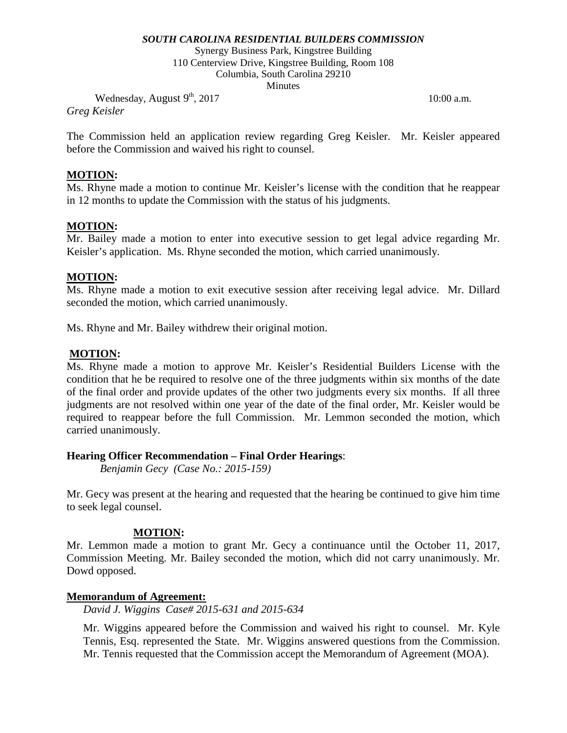Synergy Business Park, Kingstree Building 110 Centerview Drive, Kingstree Building, Room 108 Columbia, South Carolina 29210 **Minutes** 

Wednesday, August  $9<sup>th</sup>$ , 2017 10:00 a.m.

*Greg Keisler*

The Commission held an application review regarding Greg Keisler. Mr. Keisler appeared before the Commission and waived his right to counsel.

## **MOTION:**

Ms. Rhyne made a motion to continue Mr. Keisler's license with the condition that he reappear in 12 months to update the Commission with the status of his judgments.

# **MOTION:**

Mr. Bailey made a motion to enter into executive session to get legal advice regarding Mr. Keisler's application. Ms. Rhyne seconded the motion, which carried unanimously.

## **MOTION:**

Ms. Rhyne made a motion to exit executive session after receiving legal advice. Mr. Dillard seconded the motion, which carried unanimously.

Ms. Rhyne and Mr. Bailey withdrew their original motion.

## **MOTION:**

Ms. Rhyne made a motion to approve Mr. Keisler's Residential Builders License with the condition that he be required to resolve one of the three judgments within six months of the date of the final order and provide updates of the other two judgments every six months. If all three judgments are not resolved within one year of the date of the final order, Mr. Keisler would be required to reappear before the full Commission. Mr. Lemmon seconded the motion, which carried unanimously.

## **Hearing Officer Recommendation – Final Order Hearings**:

*Benjamin Gecy (Case No.: 2015-159)*

Mr. Gecy was present at the hearing and requested that the hearing be continued to give him time to seek legal counsel.

## **MOTION:**

Mr. Lemmon made a motion to grant Mr. Gecy a continuance until the October 11, 2017, Commission Meeting. Mr. Bailey seconded the motion, which did not carry unanimously. Mr. Dowd opposed.

## **Memorandum of Agreement:**

*David J. Wiggins Case# 2015-631 and 2015-634*

Mr. Wiggins appeared before the Commission and waived his right to counsel. Mr. Kyle Tennis, Esq. represented the State. Mr. Wiggins answered questions from the Commission. Mr. Tennis requested that the Commission accept the Memorandum of Agreement (MOA).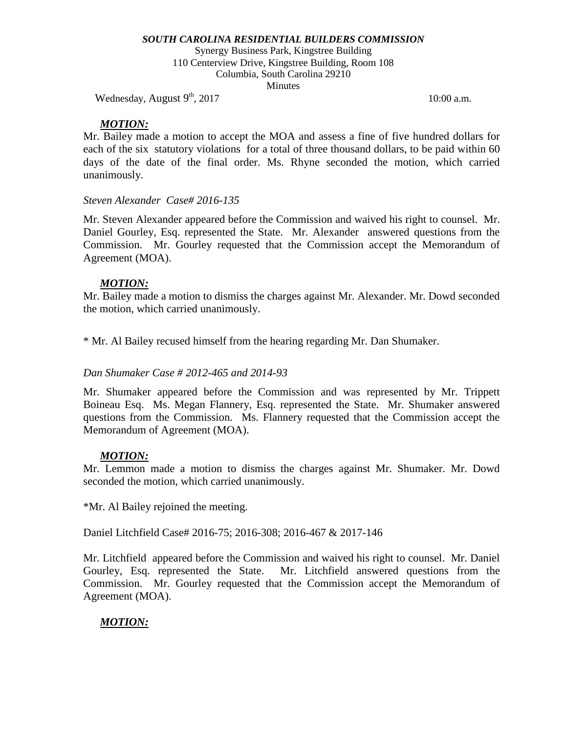Synergy Business Park, Kingstree Building 110 Centerview Drive, Kingstree Building, Room 108 Columbia, South Carolina 29210 **Minutes** 

Wednesday, August  $9<sup>th</sup>$ , 2017 10:00 a.m.

## *MOTION:*

Mr. Bailey made a motion to accept the MOA and assess a fine of five hundred dollars for each of the six statutory violations for a total of three thousand dollars, to be paid within 60 days of the date of the final order. Ms. Rhyne seconded the motion, which carried unanimously.

## *Steven Alexander Case# 2016-135*

Mr. Steven Alexander appeared before the Commission and waived his right to counsel. Mr. Daniel Gourley, Esq. represented the State. Mr. Alexander answered questions from the Commission. Mr. Gourley requested that the Commission accept the Memorandum of Agreement (MOA).

### *MOTION:*

Mr. Bailey made a motion to dismiss the charges against Mr. Alexander. Mr. Dowd seconded the motion, which carried unanimously.

\* Mr. Al Bailey recused himself from the hearing regarding Mr. Dan Shumaker.

### *Dan Shumaker Case # 2012-465 and 2014-93*

Mr. Shumaker appeared before the Commission and was represented by Mr. Trippett Boineau Esq. Ms. Megan Flannery, Esq. represented the State. Mr. Shumaker answered questions from the Commission. Ms. Flannery requested that the Commission accept the Memorandum of Agreement (MOA).

## *MOTION:*

Mr. Lemmon made a motion to dismiss the charges against Mr. Shumaker. Mr. Dowd seconded the motion, which carried unanimously.

\*Mr. Al Bailey rejoined the meeting.

Daniel Litchfield Case# 2016-75; 2016-308; 2016-467 & 2017-146

Mr. Litchfield appeared before the Commission and waived his right to counsel. Mr. Daniel Gourley, Esq. represented the State. Mr. Litchfield answered questions from the Commission. Mr. Gourley requested that the Commission accept the Memorandum of Agreement (MOA).

# *MOTION:*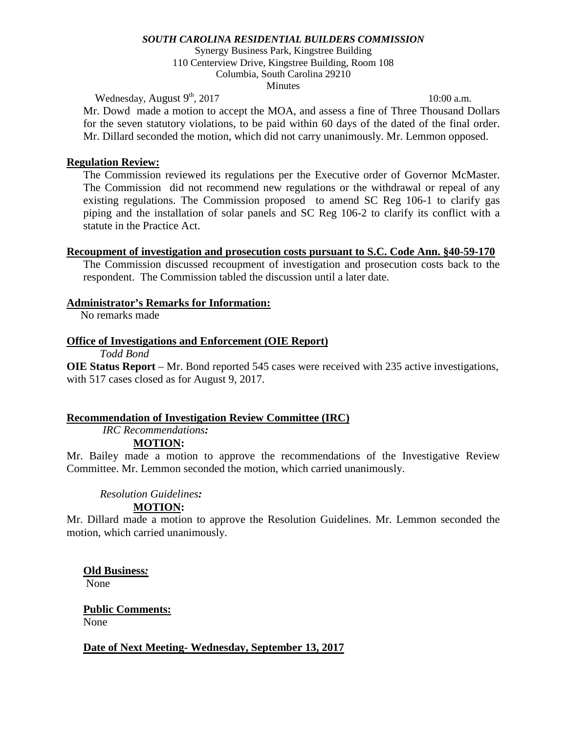Synergy Business Park, Kingstree Building 110 Centerview Drive, Kingstree Building, Room 108 Columbia, South Carolina 29210 **Minutes** 

Wednesday, August  $9<sup>th</sup>$ , 2017 10:00 a.m.

Mr. Dowd made a motion to accept the MOA, and assess a fine of Three Thousand Dollars for the seven statutory violations, to be paid within 60 days of the dated of the final order. Mr. Dillard seconded the motion, which did not carry unanimously. Mr. Lemmon opposed.

### **Regulation Review:**

The Commission reviewed its regulations per the Executive order of Governor McMaster. The Commission did not recommend new regulations or the withdrawal or repeal of any existing regulations. The Commission proposed to amend SC Reg 106-1 to clarify gas piping and the installation of solar panels and SC Reg 106-2 to clarify its conflict with a statute in the Practice Act.

### **Recoupment of investigation and prosecution costs pursuant to S.C. Code Ann. §40-59-170**

The Commission discussed recoupment of investigation and prosecution costs back to the respondent. The Commission tabled the discussion until a later date.

### **Administrator's Remarks for Information:**

No remarks made

### **Office of Investigations and Enforcement (OIE Report)**

*Todd Bond*

**OIE Status Report** – Mr. Bond reported 545 cases were received with 235 active investigations, with 517 cases closed as for August 9, 2017.

### **Recommendation of Investigation Review Committee (IRC)**

*IRC Recommendations:*

### **MOTION:**

Mr. Bailey made a motion to approve the recommendations of the Investigative Review Committee. Mr. Lemmon seconded the motion, which carried unanimously.

#### *Resolution Guidelines:* **MOTION:**

Mr. Dillard made a motion to approve the Resolution Guidelines. Mr. Lemmon seconded the motion, which carried unanimously.

### **Old Business***:*

None

#### **Public Comments:** None

**Date of Next Meeting- Wednesday, September 13, 2017**